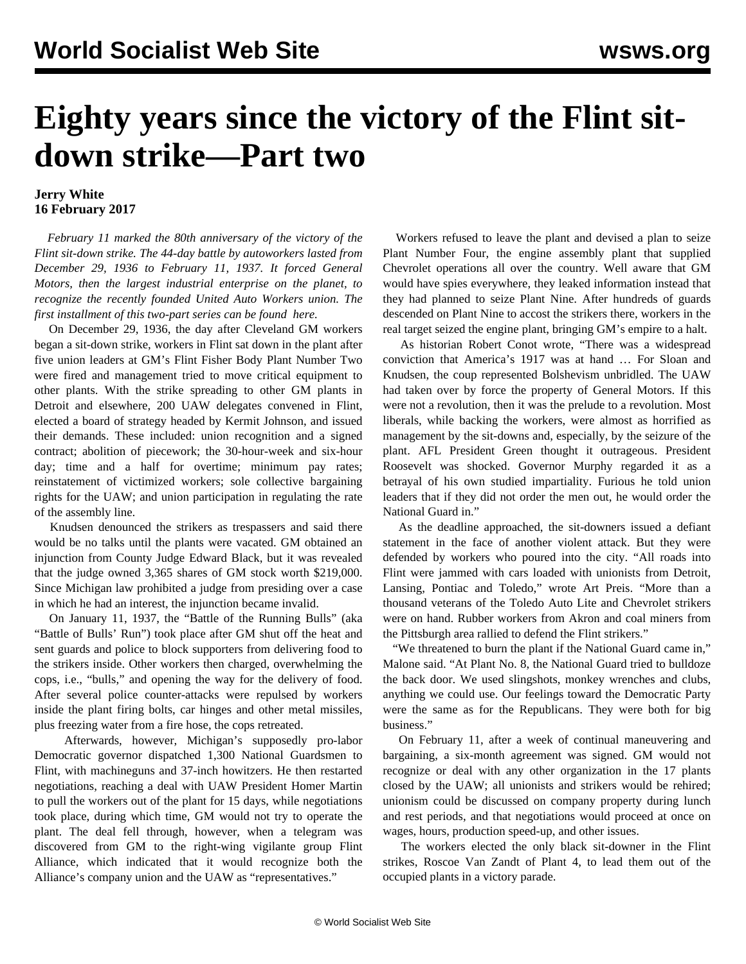## **Eighty years since the victory of the Flint sitdown strike—Part two**

## **Jerry White 16 February 2017**

 *February 11 marked the 80th anniversary of the victory of the Flint sit-down strike. The 44-day battle by autoworkers lasted from December 29, 1936 to February 11, 1937. It forced General Motors, then the largest industrial enterprise on the planet, to recognize the recently founded United Auto Workers union. The first installment of this two-part series can be found [here](/en/articles/2017/02/15/flin-f15.html).*

 On December 29, 1936, the day after Cleveland GM workers began a sit-down strike, workers in Flint sat down in the plant after five union leaders at GM's Flint Fisher Body Plant Number Two were fired and management tried to move critical equipment to other plants. With the strike spreading to other GM plants in Detroit and elsewhere, 200 UAW delegates convened in Flint, elected a board of strategy headed by Kermit Johnson, and issued their demands. These included: union recognition and a signed contract; abolition of piecework; the 30-hour-week and six-hour day; time and a half for overtime; minimum pay rates; reinstatement of victimized workers; sole collective bargaining rights for the UAW; and union participation in regulating the rate of the assembly line.

 Knudsen denounced the strikers as trespassers and said there would be no talks until the plants were vacated. GM obtained an injunction from County Judge Edward Black, but it was revealed that the judge owned 3,365 shares of GM stock worth \$219,000. Since Michigan law prohibited a judge from presiding over a case in which he had an interest, the injunction became invalid.

 On January 11, 1937, the "Battle of the Running Bulls" (aka "Battle of Bulls' Run") took place after GM shut off the heat and sent guards and police to block supporters from delivering food to the strikers inside. Other workers then charged, overwhelming the cops, i.e., "bulls," and opening the way for the delivery of food. After several police counter-attacks were repulsed by workers inside the plant firing bolts, car hinges and other metal missiles, plus freezing water from a fire hose, the cops retreated.

 Afterwards, however, Michigan's supposedly pro-labor Democratic governor dispatched 1,300 National Guardsmen to Flint, with machineguns and 37-inch howitzers. He then restarted negotiations, reaching a deal with UAW President Homer Martin to pull the workers out of the plant for 15 days, while negotiations took place, during which time, GM would not try to operate the plant. The deal fell through, however, when a telegram was discovered from GM to the right-wing vigilante group Flint Alliance, which indicated that it would recognize both the Alliance's company union and the UAW as "representatives."

 Workers refused to leave the plant and devised a plan to seize Plant Number Four, the engine assembly plant that supplied Chevrolet operations all over the country. Well aware that GM would have spies everywhere, they leaked information instead that they had planned to seize Plant Nine. After hundreds of guards descended on Plant Nine to accost the strikers there, workers in the real target seized the engine plant, bringing GM's empire to a halt.

 As historian Robert Conot wrote, "There was a widespread conviction that America's 1917 was at hand … For Sloan and Knudsen, the coup represented Bolshevism unbridled. The UAW had taken over by force the property of General Motors. If this were not a revolution, then it was the prelude to a revolution. Most liberals, while backing the workers, were almost as horrified as management by the sit-downs and, especially, by the seizure of the plant. AFL President Green thought it outrageous. President Roosevelt was shocked. Governor Murphy regarded it as a betrayal of his own studied impartiality. Furious he told union leaders that if they did not order the men out, he would order the National Guard in."

 As the deadline approached, the sit-downers issued a defiant statement in the face of another violent attack. But they were defended by workers who poured into the city. "All roads into Flint were jammed with cars loaded with unionists from Detroit, Lansing, Pontiac and Toledo," wrote Art Preis. "More than a thousand veterans of the Toledo Auto Lite and Chevrolet strikers were on hand. Rubber workers from Akron and coal miners from the Pittsburgh area rallied to defend the Flint strikers."

 "We threatened to burn the plant if the National Guard came in," Malone said. "At Plant No. 8, the National Guard tried to bulldoze the back door. We used slingshots, monkey wrenches and clubs, anything we could use. Our feelings toward the Democratic Party were the same as for the Republicans. They were both for big business."

 On February 11, after a week of continual maneuvering and bargaining, a six-month agreement was signed. GM would not recognize or deal with any other organization in the 17 plants closed by the UAW; all unionists and strikers would be rehired; unionism could be discussed on company property during lunch and rest periods, and that negotiations would proceed at once on wages, hours, production speed-up, and other issues.

 The workers elected the only black sit-downer in the Flint strikes, Roscoe Van Zandt of Plant 4, to lead them out of the occupied plants in a victory parade.